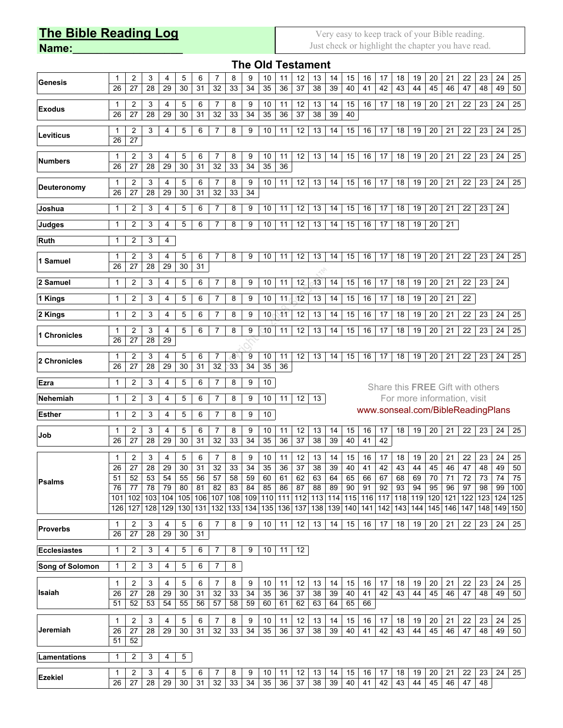## **The Bible Reading Log**

**Name:\_\_\_\_\_\_\_\_\_\_\_\_\_\_\_\_\_\_**

Very easy to keep track of your Bible reading. Just check or highlight the chapter you have read.

| <b>The Old Testament</b> |                 |                 |                 |                 |                 |                 |                      |                 |                 |                 |                 |                 |                 |                             |                 |                 |                               |                 |                 |                 |                                   |                 |                 |                 |                  |
|--------------------------|-----------------|-----------------|-----------------|-----------------|-----------------|-----------------|----------------------|-----------------|-----------------|-----------------|-----------------|-----------------|-----------------|-----------------------------|-----------------|-----------------|-------------------------------|-----------------|-----------------|-----------------|-----------------------------------|-----------------|-----------------|-----------------|------------------|
| <b>Genesis</b>           | 1<br>26         | 2<br>27         | 3<br>28         | 4<br>29         | 5<br>30         | 6<br>31         | 7<br>32              | 8<br>33         | 9<br>34         | 10<br>35        | 11<br>36        | 12<br>37        | 13<br>38        | 14<br>39                    | 15<br>40        | 16<br>41        | 17<br>42                      | 18<br>43        | 19<br>44        | 20<br>45        | 21<br>46                          | 22<br>47        | 23<br>48        | 24<br>49        | 25<br>50         |
| <b>Exodus</b>            | 1<br>26         | 2<br>27         | 3<br>28         | 4<br>29         | 5<br>30         | 6<br>31         | 7<br>32              | 8<br>33         | 9<br>34         | 10<br>35        | 11<br>36        | 12<br>37        | 13<br>38        | 14<br>39                    | 15<br>40        | 16              | 17                            | 18              | 19              | 20              | 21                                | 22              | 23              | 24              | 25               |
| Leviticus                | 1<br>26         | 2<br>27         | 3               | 4               | 5               | 6               | $\overline{7}$       | 8               | 9               | 10              | 11              | 12              | 13              | 14                          | 15              | 16              | 17                            | 18              | 19              | 20              | 21                                | 22              | 23              | 24              | 25               |
| <b>Numbers</b>           | 1<br>26         | 2<br>27         | 3<br>28         | 4<br>29         | 5<br>30         | 6<br>31         | $\overline{7}$<br>32 | 8<br>33         | 9<br>34         | 10<br>35        | 11<br>36        | 12              | 13              | 14                          | 15              | 16              | 17                            | 18              | 19              | 20              | 21                                | 22              | 23              | 24              | 25               |
| Deuteronomy              | 1<br>26         | 2<br>27         | 3<br>28         | 4<br>29         | 5<br>30         | 6<br>31         | $\overline{7}$<br>32 | 8<br>33         | 9<br>34         | 10              | 11              | 12              | 13              | 14                          | 15              | 16              | 17                            | 18              | 19              | 20              | 21                                | 22              | 23              | 24              | 25               |
| Joshua                   | 1               | 2               | 3               | 4               | 5               | 6               | $\overline{7}$       | 8               | 9               | 10              | 11              | 12              | 13              | 14                          | 15              | 16              | 17                            | 18              | 19              | 20              | 21                                | 22              | 23              | 24              |                  |
| <b>Judges</b>            | 1               | 2               | 3               | 4               | 5               | 6               | $\overline{7}$       | 8               | 9               | 10              | 11              | 12              | 13              | 14                          | 15              | 16              | 17                            | 18              | 19              | 20              | 21                                |                 |                 |                 |                  |
| <b>Ruth</b>              | 1               | 2               | 3               | 4               |                 |                 |                      |                 |                 |                 |                 |                 |                 |                             |                 |                 |                               |                 |                 |                 |                                   |                 |                 |                 |                  |
| 1 Samuel                 | 1<br>26         | 2<br>27         | 3<br>28         | 4<br>29         | 5<br>30         | 6<br>31         | 7                    | 8               | 9               | 10              | 11              | 12              | 13              | 14                          | 15              | 16              | 17                            | 18              | 19              | 20              | 21                                | 22              | 23              | 24              | 25               |
| 2 Samuel                 | 1               | 2               | 3               | 4               | 5               | 6               | 7                    | 8               | 9               | 10              | 11              | 12 <sub>2</sub> | 13              | 14                          | 15              | 16              | 17                            | 18              | 19              | 20              | 21                                | 22              | 23              | 24              |                  |
| 1 Kings                  | 1               | 2               | 3               | 4               | 5               | 6               | 7                    | 8               | 9               | 10              | 11              | 12              | 13              | 14                          | 15              | 16              | 17                            | 18              | 19              | 20              | 21                                | 22              |                 |                 |                  |
| 2 Kings                  | $\mathbf{1}$    | 2               | 3               | 4               | 5               | 6               | $\overline{7}$       | 8               | 9               | 10              | $\mathbf{11}$   | 12              | 13              | 14                          | 15              | 16              | 17                            | 18              | 19              | 20              | 21                                | 22              | 23              | 24              | 25               |
| 1 Chronicles             | 1<br>26         | 2<br>27         | 3<br>28         | 4<br>29         | 5               | 6               | 7                    | 8               | 9               | 10              | 11              | 12              | 13              | 14                          | 15              | 16              | 17                            | 18              | 19              | 20              | 21                                | 22              | 23              | 24              | 25               |
| 2 Chronicles             | 1<br>26         | 2<br>27         | 3<br>28         | 4<br>29         | 5<br>30         | 6<br>31         | 7<br>32              | 8<br>33         | 9<br>34         | 10<br>35        | 11<br>36        | 12              | 13              | 14                          | 15              | 16              | 17                            | 18              | 19              | 20              | 21                                | 22              | 23              | 24              | 25               |
| Ezra                     | 1               | 2               | 3               | 4               | 5               | 6               | 7                    | 8               | 9               | 10              |                 |                 |                 |                             |                 |                 |                               |                 |                 |                 | Share this FREE Gift with others  |                 |                 |                 |                  |
| Nehemiah                 | 1               | 2               | 3               | 4               | 5               | 6               | 7                    | 8               | 9               | 10              | 11              | 12              | 13              |                             |                 |                 |                               |                 |                 |                 | For more information, visit       |                 |                 |                 |                  |
| <b>Esther</b>            | 1               | 2               | 3               | 4               | 5               | 6               | 7                    | 8               | 9               | 10              |                 |                 |                 |                             |                 |                 |                               |                 |                 |                 | www.sonseal.com/BibleReadingPlans |                 |                 |                 |                  |
| Job                      | 1<br>26         | 2<br>27         | 3<br>28         | 4<br>29         | 5<br>30         | 6<br>31         | 7<br>32              | 8<br>33         | 9<br>34         | 10<br>35        | 11<br>36        | 12<br>37        | 13<br>38        | 14<br>39                    | 15<br>40        | 16<br>41        | 17<br>42                      | 18              | 19              | 20              | 21                                | 22              | 23              | 24              | 25               |
| <b>Psalms</b>            | 1<br>26         | 2<br>27         | 3<br>28         | 4<br>29         | 5<br>30         | 6<br>31         | $\overline{7}$<br>32 | 8<br>33         | 9<br>34         | 10<br>35        | 11<br>36        | 12<br>37        | 13<br>38        | 14<br>39                    | 15<br>40        | 16<br>41        | 17<br>42                      | 18<br>43        | 19<br>44        | 20<br>45        | 21<br>46                          | 22<br>47        | 23<br>48        | 24<br>49        | 25<br>50         |
|                          | 51<br>76<br>101 | 52<br>77<br>102 | 53<br>78<br>103 | 54<br>79<br>104 | 55<br>80<br>105 | 56<br>81<br>106 | 57<br>82<br>107      | 58<br>83<br>108 | 59<br>84<br>109 | 60<br>85<br>110 | 61<br>86<br>111 | 62<br>87<br>112 | 63<br>88<br>113 | 64<br>89<br>$\frac{1}{114}$ | 65<br>90<br>115 | 66<br>91<br>116 | 67<br>92<br>$\frac{117}{117}$ | 68<br>93<br>118 | 69<br>94<br>119 | 70<br>95<br>120 | 71<br>96<br>121                   | 72<br>97<br>122 | 73<br>98<br>123 | 74<br>99<br>124 | 75<br>100<br>125 |
|                          | 126             | 127             | 128             | 129             | 130             | 131             | 132                  | 133             | 134             | 135             | 136             | 137             | 138             | 139                         | 140             | 141             | 142                           | 143             | 144             | 145             | 146                               | 147             | 148             | 149             | 150              |
| <b>Proverbs</b>          | 1<br>26         | 2<br>27         | 3<br>28         | 4<br>29         | 5<br>30         | 6<br>31         | 7                    | 8               | 9               | 10              | 11              | 12              | 13              | 14                          | 15              | 16              | 17                            | 18              | 19              | 20              | 21                                | 22              | 23              | 24              | 25               |
| <b>Ecclesiastes</b>      | 1               | 2               | 3               | 4               | 5               | 6               | 7                    | 8               | 9               | 10              | 11              | 12              |                 |                             |                 |                 |                               |                 |                 |                 |                                   |                 |                 |                 |                  |
| <b>Song of Solomon</b>   | 1               | 2               | 3               | 4               | 5               | 6               | 7                    | 8               |                 |                 |                 |                 |                 |                             |                 |                 |                               |                 |                 |                 |                                   |                 |                 |                 |                  |
| Isaiah                   | 1               | 2               | 3               | 4               | 5               | 6               | 7                    | 8               | 9               | 10              | 11              | 12              | 13              | 14                          | 15              | 16              | 17                            | 18              | 19              | 20              | 21                                | 22              | 23              | 24              | 25               |
|                          | 26<br>51        | 27<br>52        | 28<br>53        | 29<br>54        | 30<br>55        | 31<br>56        | 32<br>57             | 33<br>58        | 34<br>59        | 35<br>60        | 36<br>61        | 37<br>62        | 38<br>63        | 39<br>64                    | 40<br>65        | 41<br>66        | 42                            | 43              | 44              | 45              | 46                                | 47              | 48              | 49              | 50               |
| Jeremiah                 | 1<br>26<br>51   | 2<br>27<br>52   | 3<br>28         | 4<br>29         | 5<br>30         | 6<br>31         | 7<br>32              | 8<br>33         | 9<br>34         | 10<br>35        | 11<br>36        | 12<br>37        | 13<br>38        | 14<br>39                    | 15<br>40        | 16<br>41        | 17<br>42                      | 18<br>43        | 19<br>44        | 20<br>45        | 21<br>46                          | 22<br>47        | 23<br>48        | 24<br>49        | 25<br>50         |
| Lamentations             | 1               | 2               | 3               | 4               | 5               |                 |                      |                 |                 |                 |                 |                 |                 |                             |                 |                 |                               |                 |                 |                 |                                   |                 |                 |                 |                  |
| <b>Ezekiel</b>           | 1<br>26         | 2<br>27         | 3<br>28         | 4<br>29         | 5<br>30         | 6<br>31         | 7<br>32              | 8<br>33         | 9<br>34         | 10<br>35        | 11<br>36        | 12<br>37        | 13<br>38        | 14<br>39                    | 15<br>40        | 16<br>41        | 17<br>42                      | 18<br>43        | 19<br>44        | 20<br>45        | 21<br>46                          | 22<br>47        | 23<br>48        | 24              | 25               |